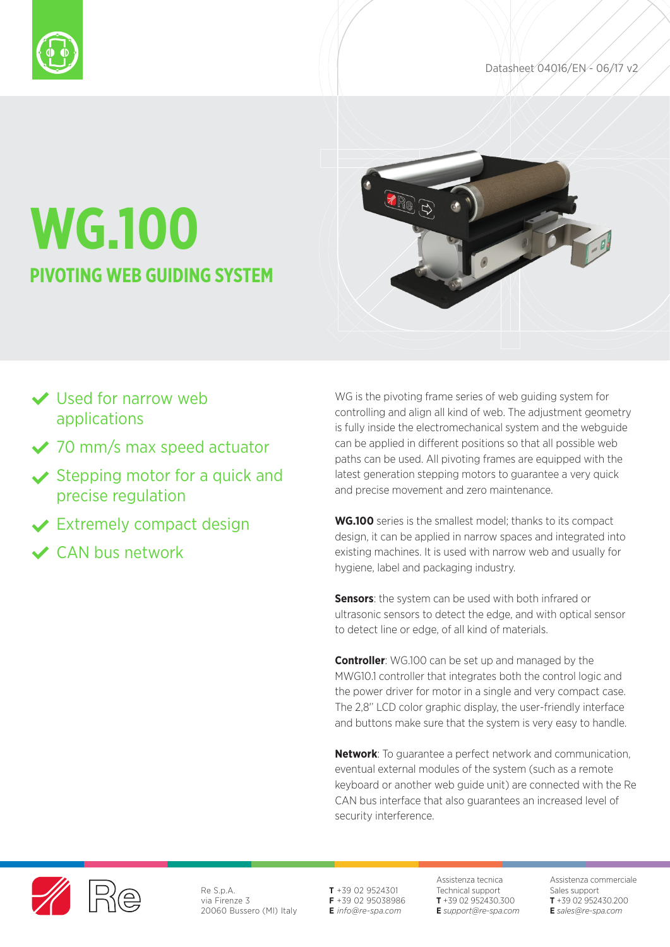



# **WG.100 PIVOTING WEB GUIDING SYSTEM**

- ◆ Used for narrow web applications
- ◆ 70 mm/s max speed actuator
- $\vee$  Stepping motor for a quick and precise regulation
- **◆ Extremely compact design**
- CAN bus network

WG is the pivoting frame series of web guiding system for controlling and align all kind of web. The adjustment geometry is fully inside the electromechanical system and the webguide can be applied in different positions so that all possible web paths can be used. All pivoting frames are equipped with the latest generation stepping motors to guarantee a very quick and precise movement and zero maintenance.

**WG.100** series is the smallest model; thanks to its compact design, it can be applied in narrow spaces and integrated into existing machines. It is used with narrow web and usually for hygiene, label and packaging industry.

**Sensors:** the system can be used with both infrared or ultrasonic sensors to detect the edge, and with optical sensor to detect line or edge, of all kind of materials.

**Controller**: WG.100 can be set up and managed by the MWG10.1 controller that integrates both the control logic and the power driver for motor in a single and very compact case. The 2,8' LCD color graphic display, the user-friendly interface and buttons make sure that the system is very easy to handle.

**Network**: To guarantee a perfect network and communication, eventual external modules of the system (such as a remote keyboard or another web guide unit) are connected with the Re CAN bus interface that also guarantees an increased level of security interference.



Re S.p.A. via Firenze 3 20060 Bussero (MI) Italy **T** +39 02 9524301 **F** +39 02 95038986 **E** *info@re-spa.com*

Assistenza tecnica Technical support **T** +39 02 952430.300 **E** *support@re-spa.com* Assistenza commerciale Sales support **T** +39 02 952430.200 **E** *sales@re-spa.com*